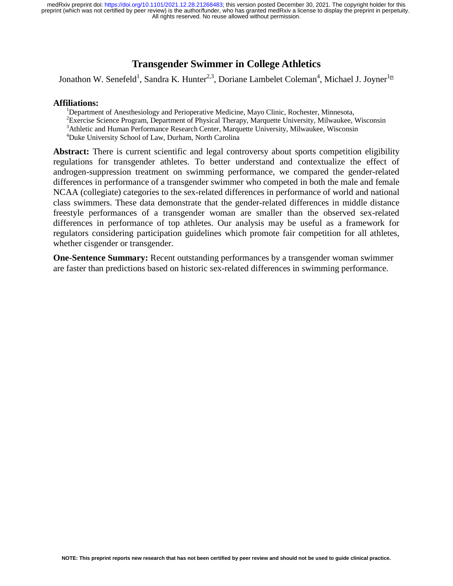## **Transgender Swimmer in College Athletics**

Jonathon W. Senefeld<sup>1</sup>, Sandra K. Hunter<sup>2,3</sup>, Doriane Lambelet Coleman<sup>4</sup>, Michael J. Joyner<sup>1</sup><sup>1</sup>

#### **Affiliations:** <sup>1</sup>

<sup>1</sup>Department of Anesthesiology and Perioperative Medicine, Mayo Clinic, Rochester, Minnesota, <sup>2</sup> Exercise Science Program, Department of Physical Therapy, Marquette University, Milwaukee, Wisconsin <sup>3</sup> Athletic and Human Performance Pescarch Center, Marquette University, Milwaukee, Wisconsin <sup>3</sup> Athletic and Human Performance Research Center, Marquette University, Milwaukee, Wisconsin 4 Duke University School of Law, Durham, North Carolina

Abstract: There is current scientific and legal controversy about sports competition eligibility regulations for transgender athletes. To better understand and contextualize the effect of androgen-suppression treatment on swimming performance, we compared the gender-related differences in performance of a transgender swimmer who competed in both the male and female NCAA (collegiate) categories to the sex-related differences in performance of world and national class swimmers. These data demonstrate that the gender-related differences in middle distance freestyle performances of a transgender woman are smaller than the observed sex-related differences in performance of top athletes. Our analysis may be useful as a framework for regulators considering participation guidelines which promote fair competition for all athletes, whether cisgender or transgender.

**One-Sentence Summary:** Recent outstanding performances by a transgender woman swimmer are faster than predictions based on historic sex-related differences in swimming performance.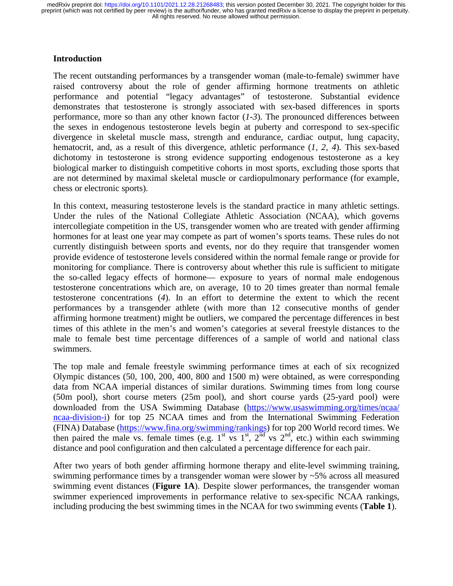### **Introduction**

The recent outstanding performances by a transgender woman (male-to-female) swimmer have raised controversy about the role of gender affirming hormone treatments on athletic performance and potential "legacy advantages" of testosterone. Substantial evidence demonstrates that testosterone is strongly associated with sex-based differences in sports performance, more so than any other known factor (*1-3*). The pronounced differences between the sexes in endogenous testosterone levels begin at puberty and correspond to sex-specific divergence in skeletal muscle mass, strength and endurance, cardiac output, lung capacity, hematocrit, and, as a result of this divergence, athletic performance (*1, 2, 4*). This sex-based dichotomy in testosterone is strong evidence supporting endogenous testosterone as a key biological marker to distinguish competitive cohorts in most sports, excluding those sports that are not determined by maximal skeletal muscle or cardiopulmonary performance (for example, chess or electronic sports).

In this context, measuring testosterone levels is the standard practice in many athletic settings. Under the rules of the National Collegiate Athletic Association (NCAA), which governs intercollegiate competition in the US, transgender women who are treated with gender affirming hormones for at least one year may compete as part of women's sports teams. These rules do not currently distinguish between sports and events, nor do they require that transgender women provide evidence of testosterone levels considered within the normal female range or provide for monitoring for compliance. There is controversy about whether this rule is sufficient to mitigate the so-called legacy effects of hormone— exposure to years of normal male endogenous testosterone concentrations which are, on average, 10 to 20 times greater than normal female testosterone concentrations (*4*). In an effort to determine the extent to which the recent performances by a transgender athlete (with more than 12 consecutive months of gender affirming hormone treatment) might be outliers, we compared the percentage differences in best times of this athlete in the men's and women's categories at several freestyle distances to the male to female best time percentage differences of a sample of world and national class swimmers.

The top male and female freestyle swimming performance times at each of six recognized Olympic distances (50, 100, 200, 400, 800 and 1500 m) were obtained, as were corresponding data from NCAA imperial distances of similar durations. Swimming times from long course (50m pool), short course meters (25m pool), and short course yards (25-yard pool) were downloaded from the USA Swimming Database (https://www.usaswimming.org/times/ncaa/ ncaa-division-i) for top 25 NCAA times and from the International Swimming Federation (FINA) Database (https://www.fina.org/swimming/rankings) for top 200 World record times. We then paired the male vs. female times (e.g. 1<sup>st</sup> vs 1<sup>st</sup>, 2<sup>nd</sup> vs 2<sup>nd</sup>, etc.) within each swimming distance and pool configuration and then calculated a percentage difference for each pair.

After two years of both gender affirming hormone therapy and elite-level swimming training, swimming performance times by a transgender woman were slower by ~5% across all measured swimming event distances (**Figure 1A**). Despite slower performances, the transgender woman swimmer experienced improvements in performance relative to sex-specific NCAA rankings, including producing the best swimming times in the NCAA for two swimming events (**Table 1**).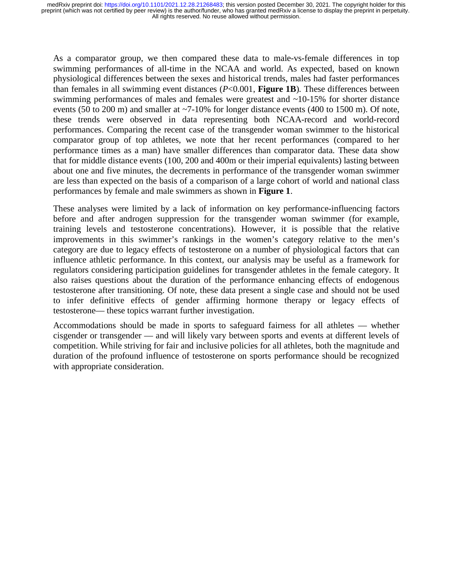As a comparator group, we then compared these data to male-vs-female differences in top swimming performances of all-time in the NCAA and world. As expected, based on known physiological differences between the sexes and historical trends, males had faster performances than females in all swimming event distances (*P*<0.001, **Figure 1B**). These differences between swimming performances of males and females were greatest and ~10-15% for shorter distance events (50 to 200 m) and smaller at ~7-10% for longer distance events (400 to 1500 m). Of note, these trends were observed in data representing both NCAA-record and world-record performances. Comparing the recent case of the transgender woman swimmer to the historical comparator group of top athletes, we note that her recent performances (compared to her performance times as a man) have smaller differences than comparator data. These data show that for middle distance events (100, 200 and 400m or their imperial equivalents) lasting between about one and five minutes, the decrements in performance of the transgender woman swimmer are less than expected on the basis of a comparison of a large cohort of world and national class performances by female and male swimmers as shown in **Figure 1**.

These analyses were limited by a lack of information on key performance-influencing factors before and after androgen suppression for the transgender woman swimmer (for example, training levels and testosterone concentrations). However, it is possible that the relative improvements in this swimmer's rankings in the women's category relative to the men's category are due to legacy effects of testosterone on a number of physiological factors that can influence athletic performance. In this context, our analysis may be useful as a framework for regulators considering participation guidelines for transgender athletes in the female category. It also raises questions about the duration of the performance enhancing effects of endogenous testosterone after transitioning. Of note, these data present a single case and should not be used to infer definitive effects of gender affirming hormone therapy or legacy effects of testosterone— these topics warrant further investigation.

Accommodations should be made in sports to safeguard fairness for all athletes — whether cisgender or transgender — and will likely vary between sports and events at different levels of competition. While striving for fair and inclusive policies for all athletes, both the magnitude and duration of the profound influence of testosterone on sports performance should be recognized with appropriate consideration.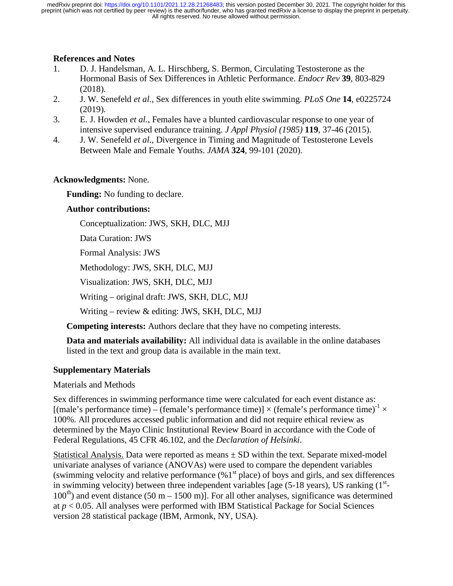## **References and Notes**

- 1. D. J. Handelsman, A. L. Hirschberg, S. Bermon, Circulating Testosterone as the Hormonal Basis of Sex Differences in Athletic Performance. *Endocr Rev* **39**, 803-829 (2018).
- 2. J. W. Senefeld *et al.*, Sex differences in youth elite swimming. *PLoS One* **14**, e0225724 (2019).
- 3. E. J. Howden *et al.*, Females have a blunted cardiovascular response to one year of intensive supervised endurance training. *J Appl Physiol (1985)* **119**, 37-46 (2015).
- 4. J. W. Senefeld *et al.*, Divergence in Timing and Magnitude of Testosterone Levels Between Male and Female Youths. *JAMA* **324**, 99-101 (2020).

## **Acknowledgments:** None.

**Funding:** No funding to declare.

## **Author contributions:**

Conceptualization: JWS, SKH, DLC, MJJ

Data Curation: JWS

Formal Analysis: JWS

Methodology: JWS, SKH, DLC, MJJ

Visualization: JWS, SKH, DLC, MJJ

Writing – original draft: JWS, SKH, DLC, MJJ

Writing – review & editing: JWS, SKH, DLC, MJJ

**Competing interests:** Authors declare that they have no competing interests.

**Data and materials availability:** All individual data is available in the online databases listed in the text and group data is available in the main text.

# **Supplementary Materials**

Materials and Methods

Sex differences in swimming performance time were calculated for each event distance as: [(male's performance time) – (female's performance time)]  $\times$  (female's performance time)<sup>-1</sup>  $\times$ 100%. All procedures accessed public information and did not require ethical review as determined by the Mayo Clinic Institutional Review Board in accordance with the Code of Federal Regulations, 45 CFR 46.102, and the *Declaration of Helsinki*.

Statistical Analysis. Data were reported as means  $\pm$  SD within the text. Separate mixed-model univariate analyses of variance (ANOVAs) were used to compare the dependent variables (swimming velocity and relative performance  $(\%1^{\text{st}})$  place) of boys and girls, and sex differences in swimming velocity) between three independent variables [age  $(5-18 \text{ years})$ , US ranking  $(1^{\text{st}}-)$  $100<sup>th</sup>$ ) and event distance (50 m – 1500 m)]. For all other analyses, significance was determined at *p* < 0.05. All analyses were performed with IBM Statistical Package for Social Sciences version 28 statistical package (IBM, Armonk, NY, USA).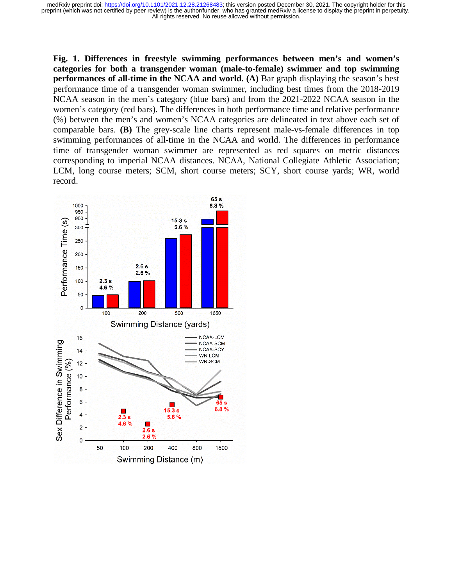**Fig. 1. Differences in freestyle swimming performances between men's and women's categories for both a transgender woman (male-to-female) swimmer and top swimming performances of all-time in the NCAA and world.** (A) Bar graph displaying the season's best performance time of a transgender woman swimmer, including best times from the 2018-2019 NCAA season in the men's category (blue bars) and from the 2021-2022 NCAA season in the women's category (red bars). The differences in both performance time and relative performance (%) between the men's and women's NCAA categories are delineated in text above each set of comparable bars. **(B)** The grey-scale line charts represent male-vs-female differences in top swimming performances of all-time in the NCAA and world. The differences in performance time of transgender woman swimmer are represented as red squares on metric distances corresponding to imperial NCAA distances. NCAA, National Collegiate Athletic Association; LCM, long course meters; SCM, short course meters; SCY, short course yards; WR, world record.